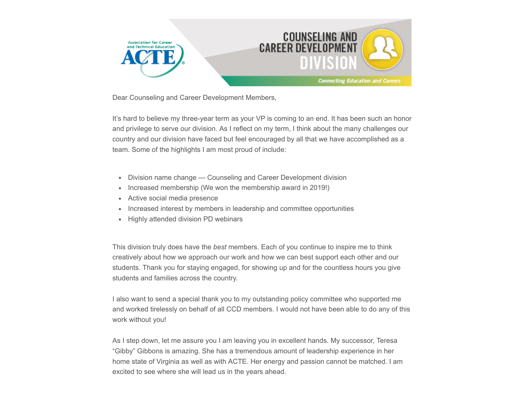

Dear Counseling and Career Development Members,

It's hard to believe my three-year term as your VP is coming to an end. It has been such an honor and privilege to serve our division. As I reflect on my term, I think about the many challenges our country and our division have faced but feel encouraged by all that we have accomplished as a team. Some of the highlights I am most proud of include:

- Division name change Counseling and Career Development division
- Increased membership (We won the membership award in 2019!)
- Active social media presence
- Increased interest by members in leadership and committee opportunities
- Highly attended division PD webinars

This division truly does have the *best* members. Each of you continue to inspire me to think creatively about how we approach our work and how we can best support each other and our students. Thank you for staying engaged, for showing up and for the countless hours you give students and families across the country.

I also want to send a special thank you to my outstanding policy committee who supported me and worked tirelessly on behalf of all CCD members. I would not have been able to do any of this work without you!

As I step down, let me assure you I am leaving you in excellent hands. My successor, Teresa "Gibby" Gibbons is amazing. She has a tremendous amount of leadership experience in her home state of Virginia as well as with ACTE. Her energy and passion cannot be matched. I am excited to see where she will lead us in the years ahead.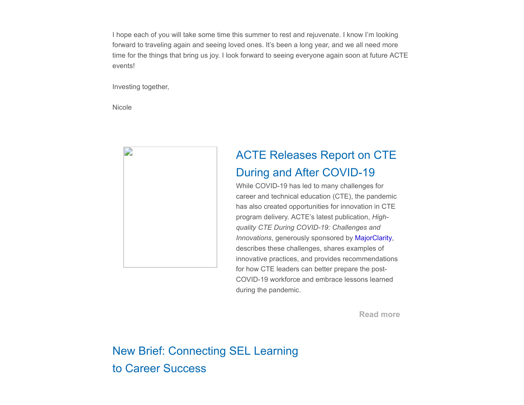I hope each of you will take some time this summer to rest and rejuvenate. I know I'm looking forward to traveling again and seeing loved ones. It's been a long year, and we all need more time for the things that bring us joy. I look forward to seeing everyone again soon at future ACTE events!

Investing together,

Nicole



## ACTE Releases Report on CTE During and After COVID-19

While COVID-19 has led to many challenges for career and technical education (CTE), the pandemic has also created opportunities for innovation in CTE program delivery. ACTE's latest publication, *Highquality CTE During COVID-19: Challenges and Innovations*, generously sponsored by [MajorClarity](https://majorclarity.com/), describes these challenges, shares examples of innovative practices, and provides recommendations for how CTE leaders can better prepare the post-COVID-19 workforce and embrace lessons learned during the pandemic.

**[Read more](https://ctepolicywatch.acteonline.org/2021/03/acte-releases-report-on-cte-during-and-after-covid-19.html)**

New Brief: Connecting SEL Learning to Career Success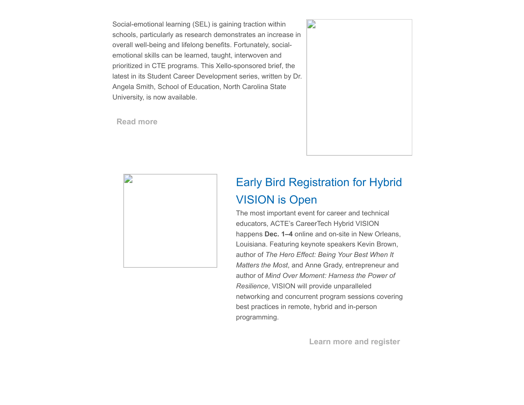Social-emotional learning (SEL) is gaining traction within schools, particularly as research demonstrates an increase in overall well-being and lifelong benefits. Fortunately, socialemotional skills can be learned, taught, interwoven and prioritized in CTE programs. This Xello-sponsored brief, the latest in its Student Career Development series, written by Dr. Angela Smith, School of Education, North Carolina State University, is now available.

**[Read more](https://www.acteonline.org/why-cte/student-career-development/)**





# Early Bird Registration for Hybrid VISION is Open

The most important event for career and technical educators, ACTE's CareerTech Hybrid VISION happens **Dec. 1–4** online and on-site in New Orleans, Louisiana. Featuring keynote speakers Kevin Brown, author of *The Hero Effect: Being Your Best When It Matters the Most*, and Anne Grady, entrepreneur and author of *Mind Over Moment: Harness the Power of Resilience*, VISION will provide unparalleled networking and concurrent program sessions covering best practices in remote, hybrid and in-person programming.

**[Learn more and register](https://www.careertechvision.com/index.cfm)**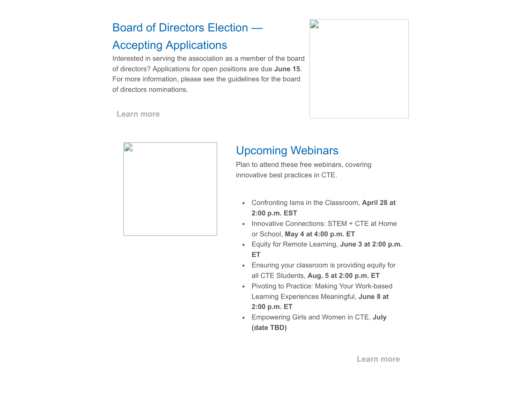#### Board of Directors Election —

#### Accepting Applications

Interested in serving the association as a member of the board of directors? Applications for open positions are due **June 15**. For more information, please see the guidelines for the board of directors nominations.



**[Learn more](https://www.acteonline.org/about/get-involved/board-election/)**



#### Upcoming Webinars

Plan to attend these free webinars, covering innovative best practices in CTE.

- Confronting Isms in the Classroom, **April 28 at 2:00 p.m. EST**
- Innovative Connections: STEM + CTE at Home or School, **May 4 at 4:00 p.m. ET**
- Equity for Remote Learning, **June 3 at 2:00 p.m. ET**
- Ensuring your classroom is providing equity for all CTE Students, **Aug. 5 at 2:00 p.m. ET**
- Pivoting to Practice: Making Your Work-based Learning Experiences Meaningful, **June 8 at 2:00 p.m. ET**
- Empowering Girls and Women in CTE, **July (date TBD)**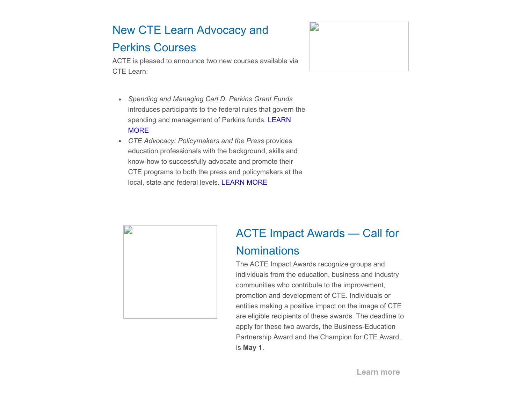### New CTE Learn Advocacy and Perkins Courses

#### ACTE is pleased to announce two new courses available via CTE Learn:



- *Spending and Managing Carl D. Perkins Grant Funds* introduces participants to the federal rules that govern the [spending and management of Perkins funds. LEARN](https://www.ctelearn.org/certified-courses/course/LC160/spending-and-managing-carl-d.-perkins-grant-funds-) **MORE**
- *CTE Advocacy: Policymakers and the Press* provides education professionals with the background, skills and know-how to successfully advocate and promote their CTE programs to both the press and policymakers at the local, state and federal levels. [LEARN MORE](https://www.ctelearn.org/certified-courses/course/LC170/cte-advocacy:-policymakers-and-the-press)



## ACTE Impact Awards — Call for **Nominations**

The ACTE Impact Awards recognize groups and individuals from the education, business and industry communities who contribute to the improvement, promotion and development of CTE. Individuals or entities making a positive impact on the image of CTE are eligible recipients of these awards. The deadline to apply for these two awards, the Business-Education Partnership Award and the Champion for CTE Award, is **May 1**.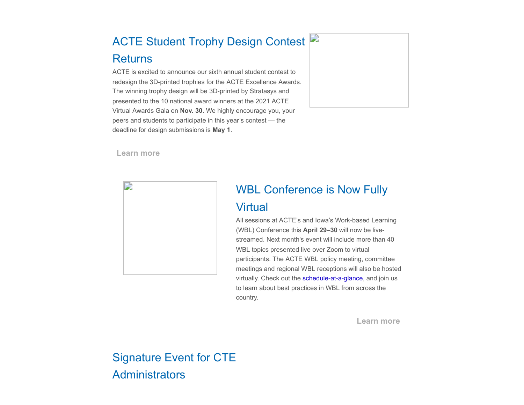# ACTE Student Trophy Design Contest Returns

ACTE is excited to announce our sixth annual student contest to redesign the 3D-printed trophies for the ACTE Excellence Awards. The winning trophy design will be 3D-printed by Stratasys and presented to the 10 national award winners at the 2021 ACTE Virtual Awards Gala on **Nov. 30**. We highly encourage you, your peers and students to participate in this year's contest — the deadline for design submissions is **May 1**.



**[Learn more](https://www.acteonline.org/professional-development/acte-awards/student-trophy-design-contest/)**



#### WBL Conference is Now Fully

#### **Virtual**

All sessions at ACTE's and Iowa's Work-based Learning (WBL) Conference this **April 29–30** will now be livestreamed. Next month's event will include more than 40 WBL topics presented live over Zoom to virtual participants. The ACTE WBL policy meeting, committee meetings and regional WBL receptions will also be hosted virtually. Check out the [schedule-at-a-glance,](https://nam10.safelinks.protection.outlook.com/?url=http%3A%2F%2Facte-news.informz.net%2Fz%2FcjUucD9taT04MzAwMjIwJnA9MSZ1PTkzODA3MDUwNiZsaT03MDQyNjY4Mg%2Findex.html&data=04%7C01%7Csstaton%40acteonline.org%7Ceab7901074b944713b8308d8e976f706%7Caa073e65c80e4bc7964cb85c6efc1992%7C0%7C0%7C637516044454493482%7CUnknown%7CTWFpbGZsb3d8eyJWIjoiMC4wLjAwMDAiLCJQIjoiV2luMzIiLCJBTiI6Ik1haWwiLCJXVCI6Mn0%3D%7C1000&sdata=yPgbcVnA91VbC2owgFqlbvoapgZHgGadhoBfRUohCO4%3D&reserved=0) and join us to learn about best practices in WBL from across the country.

**[Learn more](https://www.acteonline.org/wbl-conference/)**

### Signature Event for CTE **Administrators**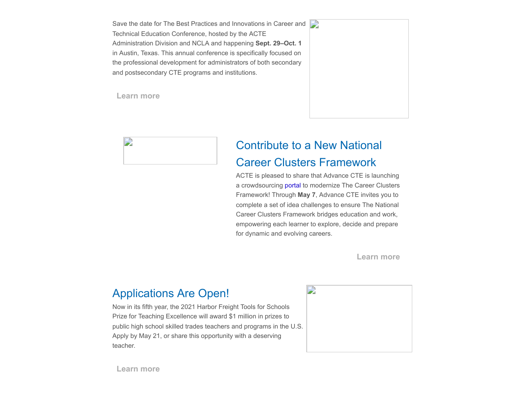Save the date for The Best Practices and Innovations in Career and Technical Education Conference, hosted by the ACTE Administration Division and NCLA and happening **Sept. 29–Oct. 1** in Austin, Texas. This annual conference is specifically focused on the professional development for administrators of both secondary and postsecondary CTE programs and institutions.

**[Learn more](https://www.acteonline.org/bestpractices/)**





### Contribute to a New National Career Clusters Framework

ACTE is pleased to share that Advance CTE is launching a crowdsourcing [portal](https://advancingtheframework.org/) to modernize The Career Clusters Framework! Through **May 7**, Advance CTE invites you to complete a set of idea challenges to ensure The National Career Clusters Framework bridges education and work, empowering each learner to explore, decide and prepare for dynamic and evolving careers.

**[Learn more](https://advancingtheframework.org/)**

#### Applications Are Open!

Now in its fifth year, the 2021 Harbor Freight Tools for Schools Prize for Teaching Excellence will award \$1 million in prizes to public high school skilled trades teachers and programs in the U.S. Apply by May 21, or share this opportunity with a deserving teacher.



**[Learn more](https://hftforschoolsprize.org/)**